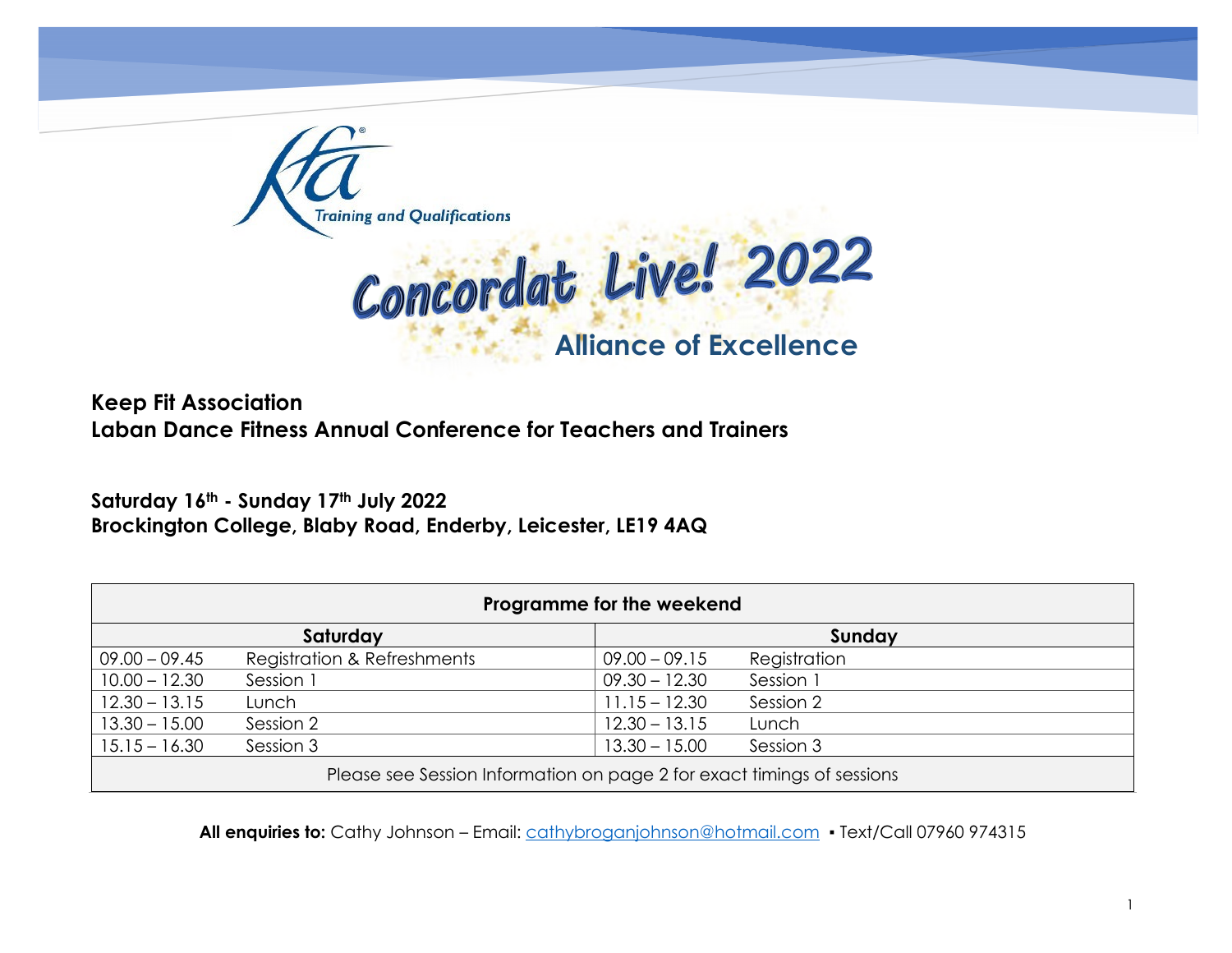

 **Alliance of Excellence**

**Keep Fit Association Laban Dance Fitness Annual Conference for Teachers and Trainers**

Saturday 16<sup>th</sup> - Sunday 17<sup>th</sup> July 2022 **Brockington College, Blaby Road, Enderby, Leicester, LE19 4AQ**

| Programme for the weekend                                              |                             |                 |              |  |  |  |
|------------------------------------------------------------------------|-----------------------------|-----------------|--------------|--|--|--|
|                                                                        | Saturday                    |                 | Sunday       |  |  |  |
| $09.00 - 09.45$                                                        | Registration & Refreshments | $09.00 - 09.15$ | Registration |  |  |  |
| $10.00 - 12.30$                                                        | Session 1                   | $09.30 - 12.30$ | Session 1    |  |  |  |
| $12.30 - 13.15$                                                        | Lunch                       | $11.15 - 12.30$ | Session 2    |  |  |  |
| $13.30 - 15.00$                                                        | Session 2                   | $12.30 - 13.15$ | Lunch        |  |  |  |
| $15.15 - 16.30$                                                        | Session 3                   | $13.30 - 15.00$ | Session 3    |  |  |  |
| Please see Session Information on page 2 for exact timings of sessions |                             |                 |              |  |  |  |

All enquiries to: Cathy Johnson – Email: [cathybroganjohnson@hotmail.com](mailto:cathybroganjohnson@hotmail.com) • Text/Call 07960 974315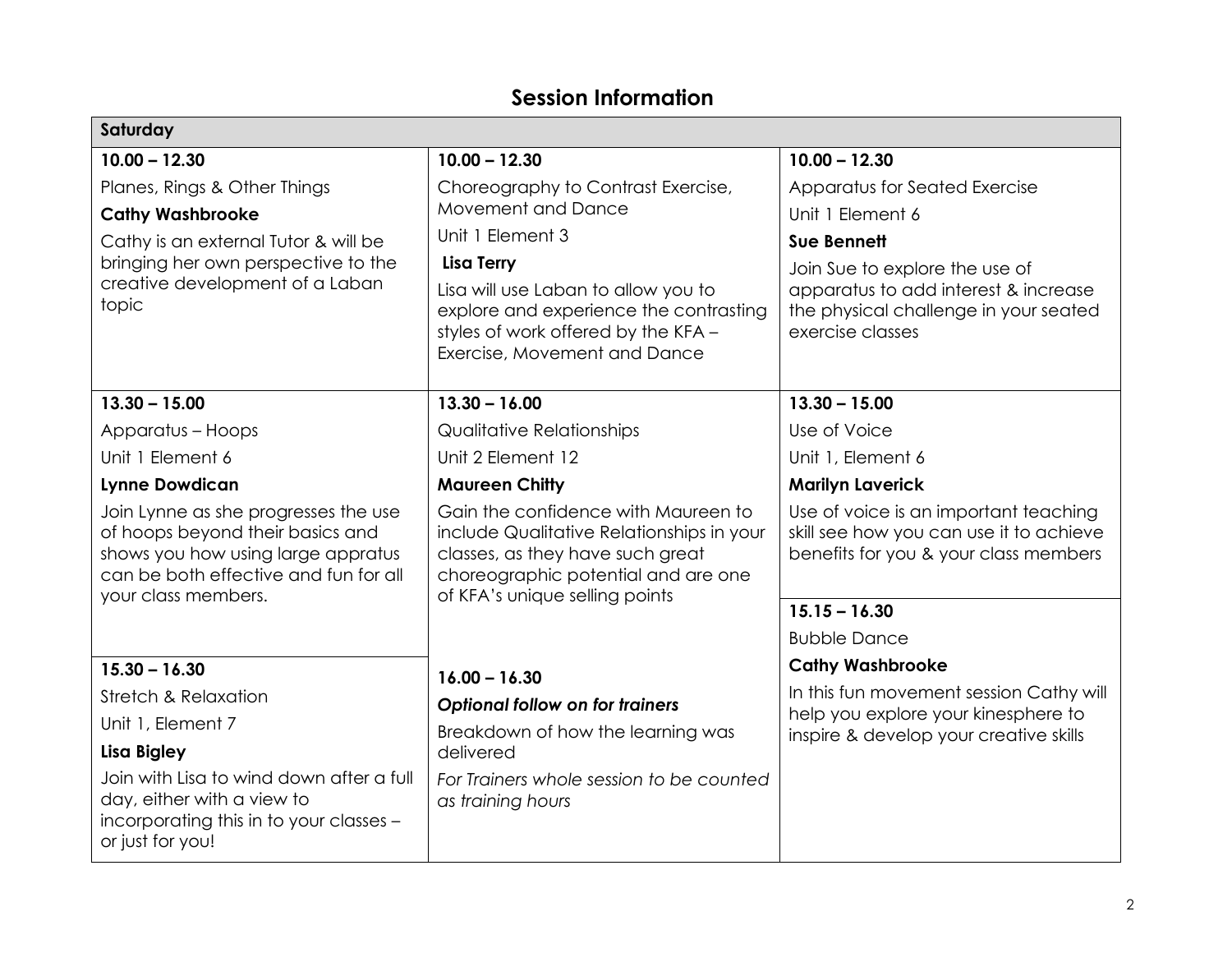## **Session Information**

| Saturday                                                                                                                                                                       |                                                                                                                                                                                               |                                                                                                                           |  |  |  |  |
|--------------------------------------------------------------------------------------------------------------------------------------------------------------------------------|-----------------------------------------------------------------------------------------------------------------------------------------------------------------------------------------------|---------------------------------------------------------------------------------------------------------------------------|--|--|--|--|
| $10.00 - 12.30$                                                                                                                                                                | $10.00 - 12.30$                                                                                                                                                                               | $10.00 - 12.30$                                                                                                           |  |  |  |  |
| Planes, Rings & Other Things                                                                                                                                                   | Choreography to Contrast Exercise,                                                                                                                                                            | Apparatus for Seated Exercise                                                                                             |  |  |  |  |
| <b>Cathy Washbrooke</b>                                                                                                                                                        | <b>Movement and Dance</b>                                                                                                                                                                     | Unit 1 Element 6                                                                                                          |  |  |  |  |
| Cathy is an external Tutor & will be                                                                                                                                           | Unit 1 Element 3                                                                                                                                                                              | <b>Sue Bennett</b>                                                                                                        |  |  |  |  |
| bringing her own perspective to the                                                                                                                                            | <b>Lisa Terry</b>                                                                                                                                                                             | Join Sue to explore the use of                                                                                            |  |  |  |  |
| creative development of a Laban<br>topic                                                                                                                                       | Lisa will use Laban to allow you to<br>explore and experience the contrasting<br>styles of work offered by the KFA -<br>Exercise, Movement and Dance                                          | apparatus to add interest & increase<br>the physical challenge in your seated<br>exercise classes                         |  |  |  |  |
|                                                                                                                                                                                |                                                                                                                                                                                               |                                                                                                                           |  |  |  |  |
| $13.30 - 15.00$                                                                                                                                                                | $13.30 - 16.00$                                                                                                                                                                               | $13.30 - 15.00$                                                                                                           |  |  |  |  |
| Apparatus - Hoops                                                                                                                                                              | <b>Qualitative Relationships</b>                                                                                                                                                              | Use of Voice                                                                                                              |  |  |  |  |
| Unit 1 Element 6                                                                                                                                                               | Unit 2 Element 12                                                                                                                                                                             | Unit 1, Element 6                                                                                                         |  |  |  |  |
| <b>Lynne Dowdican</b>                                                                                                                                                          | <b>Maureen Chitty</b>                                                                                                                                                                         | <b>Marilyn Laverick</b>                                                                                                   |  |  |  |  |
| Join Lynne as she progresses the use<br>of hoops beyond their basics and<br>shows you how using large appratus<br>can be both effective and fun for all<br>your class members. | Gain the confidence with Maureen to<br>include Qualitative Relationships in your<br>classes, as they have such great<br>choreographic potential and are one<br>of KFA's unique selling points | Use of voice is an important teaching<br>skill see how you can use it to achieve<br>benefits for you & your class members |  |  |  |  |
|                                                                                                                                                                                |                                                                                                                                                                                               | $15.15 - 16.30$                                                                                                           |  |  |  |  |
|                                                                                                                                                                                |                                                                                                                                                                                               | <b>Bubble Dance</b>                                                                                                       |  |  |  |  |
| $15.30 - 16.30$                                                                                                                                                                | $16.00 - 16.30$                                                                                                                                                                               | <b>Cathy Washbrooke</b>                                                                                                   |  |  |  |  |
| <b>Stretch &amp; Relaxation</b>                                                                                                                                                | <b>Optional follow on for trainers</b>                                                                                                                                                        | In this fun movement session Cathy will                                                                                   |  |  |  |  |
| Unit 1, Element 7                                                                                                                                                              | Breakdown of how the learning was                                                                                                                                                             | help you explore your kinesphere to<br>inspire & develop your creative skills                                             |  |  |  |  |
| Lisa Bigley                                                                                                                                                                    | delivered                                                                                                                                                                                     |                                                                                                                           |  |  |  |  |
| Join with Lisa to wind down after a full<br>day, either with a view to<br>incorporating this in to your classes -<br>or just for you!                                          | For Trainers whole session to be counted<br>as training hours                                                                                                                                 |                                                                                                                           |  |  |  |  |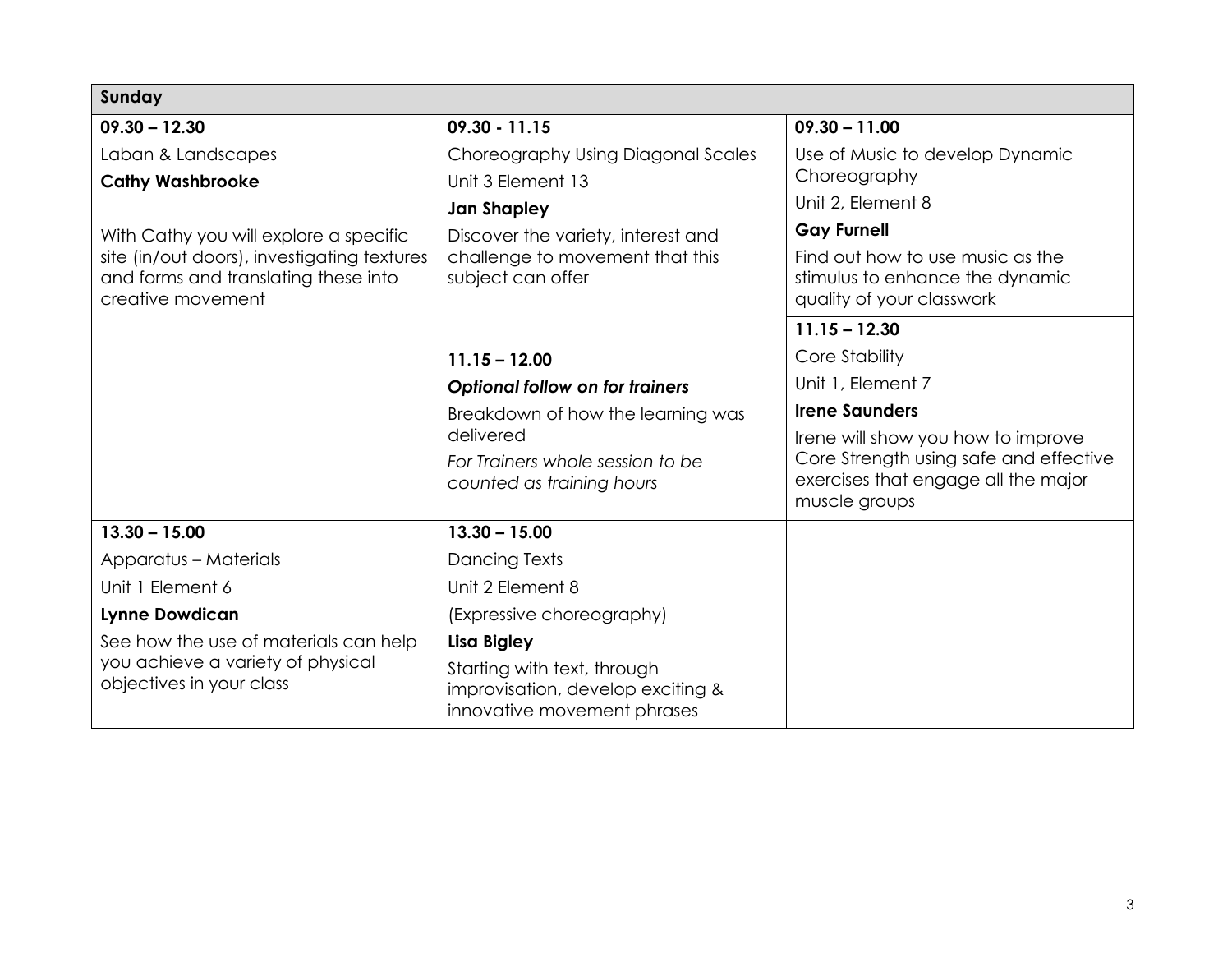| Sunday                                                                              |                                                                  |                                                                               |  |  |  |  |
|-------------------------------------------------------------------------------------|------------------------------------------------------------------|-------------------------------------------------------------------------------|--|--|--|--|
| $09.30 - 12.30$                                                                     | $09.30 - 11.15$                                                  | $09.30 - 11.00$                                                               |  |  |  |  |
| Laban & Landscapes                                                                  | Choreography Using Diagonal Scales                               | Use of Music to develop Dynamic                                               |  |  |  |  |
| <b>Cathy Washbrooke</b>                                                             | Unit 3 Element 13                                                | Choreography                                                                  |  |  |  |  |
|                                                                                     | <b>Jan Shapley</b>                                               | Unit 2, Element 8                                                             |  |  |  |  |
| With Cathy you will explore a specific                                              | Discover the variety, interest and                               | <b>Gay Furnell</b>                                                            |  |  |  |  |
| site (in/out doors), investigating textures<br>and forms and translating these into | challenge to movement that this<br>subject can offer             | Find out how to use music as the<br>stimulus to enhance the dynamic           |  |  |  |  |
| creative movement                                                                   |                                                                  | quality of your classwork                                                     |  |  |  |  |
|                                                                                     |                                                                  | $11.15 - 12.30$                                                               |  |  |  |  |
|                                                                                     | $11.15 - 12.00$                                                  | Core Stability                                                                |  |  |  |  |
|                                                                                     | <b>Optional follow on for trainers</b>                           | Unit 1, Element 7                                                             |  |  |  |  |
|                                                                                     | Breakdown of how the learning was<br>delivered                   | <b>Irene Saunders</b>                                                         |  |  |  |  |
|                                                                                     |                                                                  | Irene will show you how to improve                                            |  |  |  |  |
|                                                                                     | For Trainers whole session to be                                 | Core Strength using safe and effective<br>exercises that engage all the major |  |  |  |  |
|                                                                                     | counted as training hours                                        | muscle groups                                                                 |  |  |  |  |
| $13.30 - 15.00$                                                                     | $13.30 - 15.00$                                                  |                                                                               |  |  |  |  |
| <b>Apparatus - Materials</b>                                                        | Dancing Texts                                                    |                                                                               |  |  |  |  |
| Unit 1 Element 6                                                                    | Unit 2 Element 8                                                 |                                                                               |  |  |  |  |
| <b>Lynne Dowdican</b>                                                               | (Expressive choreography)                                        |                                                                               |  |  |  |  |
| See how the use of materials can help                                               | <b>Lisa Bigley</b>                                               |                                                                               |  |  |  |  |
| you achieve a variety of physical                                                   | Starting with text, through                                      |                                                                               |  |  |  |  |
| objectives in your class                                                            | improvisation, develop exciting &<br>innovative movement phrases |                                                                               |  |  |  |  |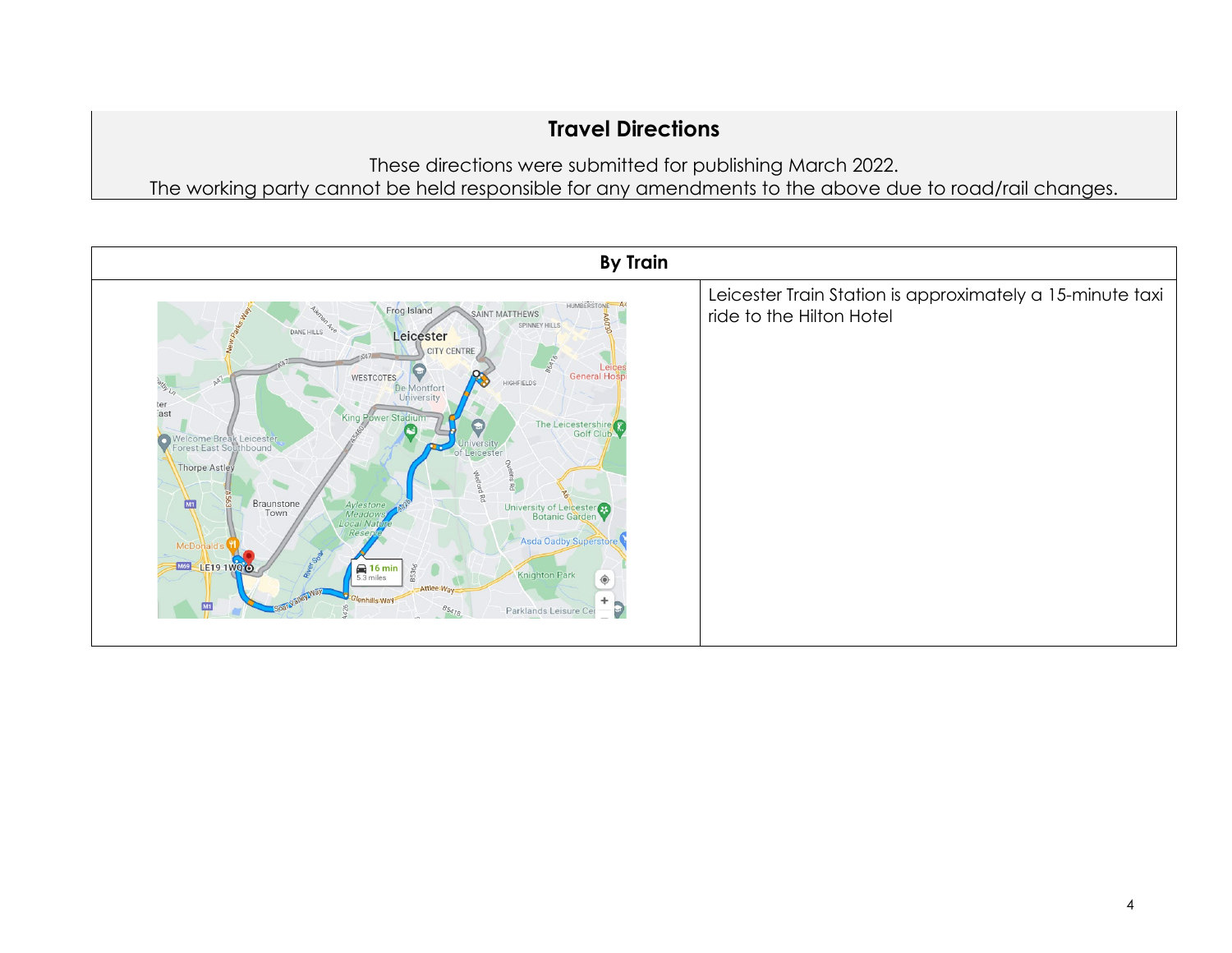## **Travel Directions**

These directions were submitted for publishing March 2022. The working party cannot be held responsible for any amendments to the above due to road/rail changes.

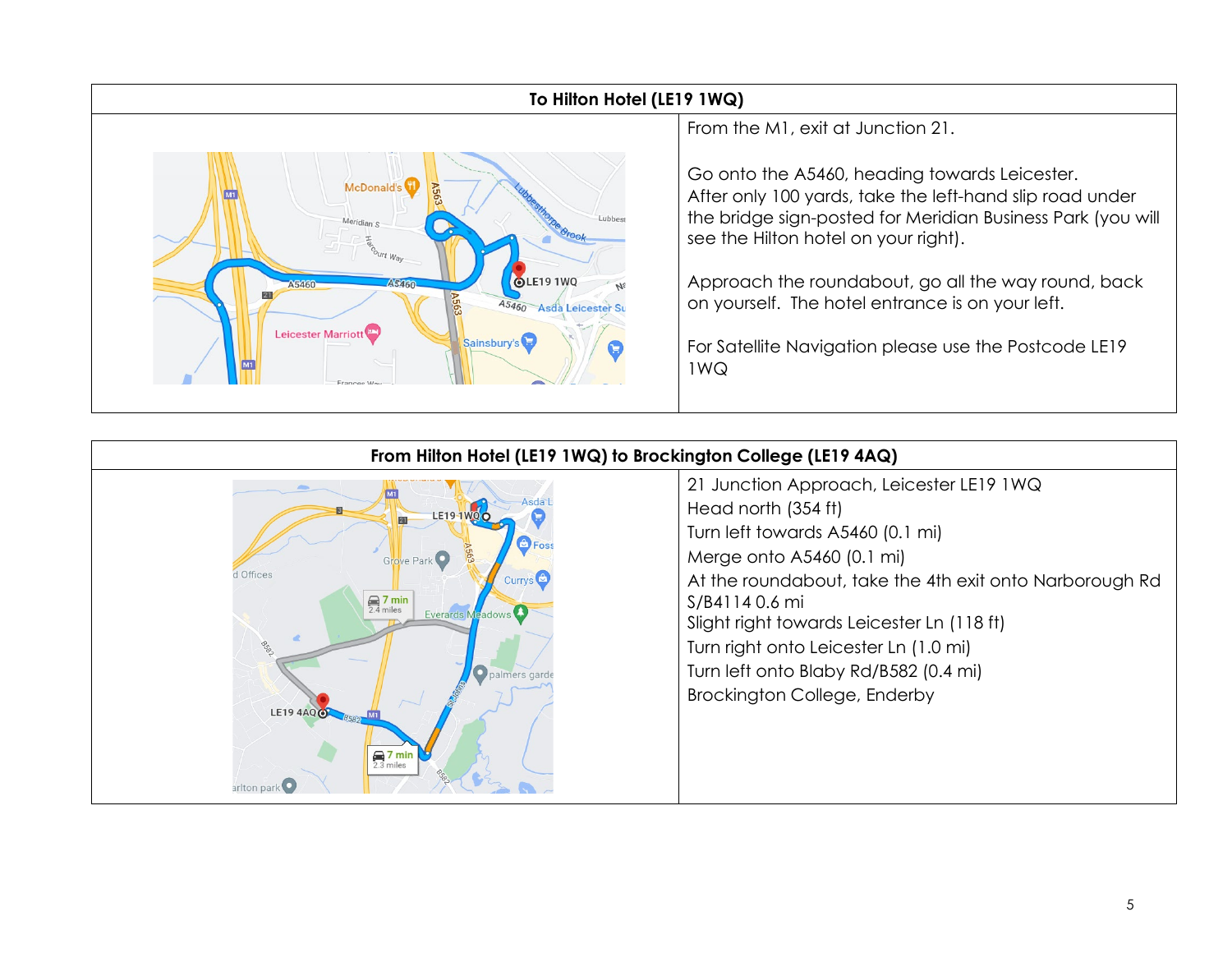

## **To Hilton Hotel (LE19 1WQ)**

From the M1, exit at Junction 21.

Go onto the A5460, heading towards Leicester. After only 100 yards, take the left-hand slip road under the bridge sign-posted for Meridian Business Park (you will see the Hilton hotel on your right).

Approach the roundabout, go all the way round, back on yourself. The hotel entrance is on your left.

For Satellite Navigation please use the Postcode LE19 1WQ